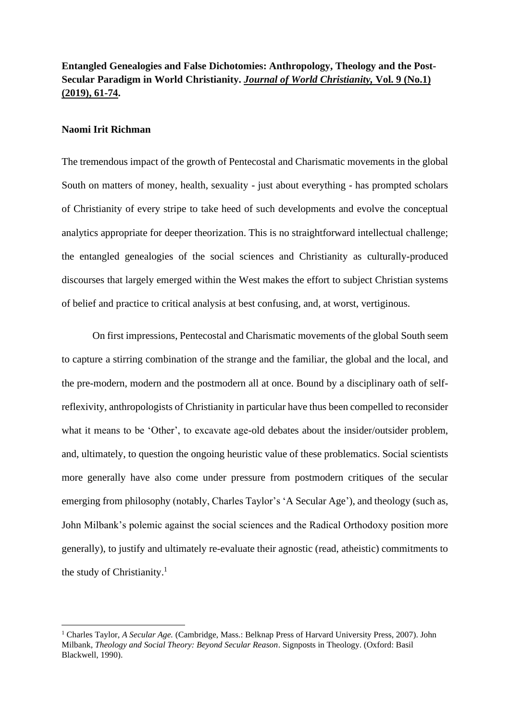### **Naomi Irit Richman**

The tremendous impact of the growth of Pentecostal and Charismatic movements in the global South on matters of money, health, sexuality - just about everything - has prompted scholars of Christianity of every stripe to take heed of such developments and evolve the conceptual analytics appropriate for deeper theorization. This is no straightforward intellectual challenge; the entangled genealogies of the social sciences and Christianity as culturally-produced discourses that largely emerged within the West makes the effort to subject Christian systems of belief and practice to critical analysis at best confusing, and, at worst, vertiginous.

On first impressions, Pentecostal and Charismatic movements of the global South seem to capture a stirring combination of the strange and the familiar, the global and the local, and the pre-modern, modern and the postmodern all at once. Bound by a disciplinary oath of selfreflexivity, anthropologists of Christianity in particular have thus been compelled to reconsider what it means to be 'Other', to excavate age-old debates about the insider/outsider problem, and, ultimately, to question the ongoing heuristic value of these problematics. Social scientists more generally have also come under pressure from postmodern critiques of the secular emerging from philosophy (notably, Charles Taylor's 'A Secular Age'), and theology (such as, John Milbank's polemic against the social sciences and the Radical Orthodoxy position more generally), to justify and ultimately re-evaluate their agnostic (read, atheistic) commitments to the study of Christianity. 1

<sup>1</sup> Charles Taylor, *A Secular Age.* (Cambridge, Mass.: Belknap Press of Harvard University Press, 2007). John Milbank, *Theology and Social Theory: Beyond Secular Reason*. Signposts in Theology. (Oxford: Basil Blackwell, 1990).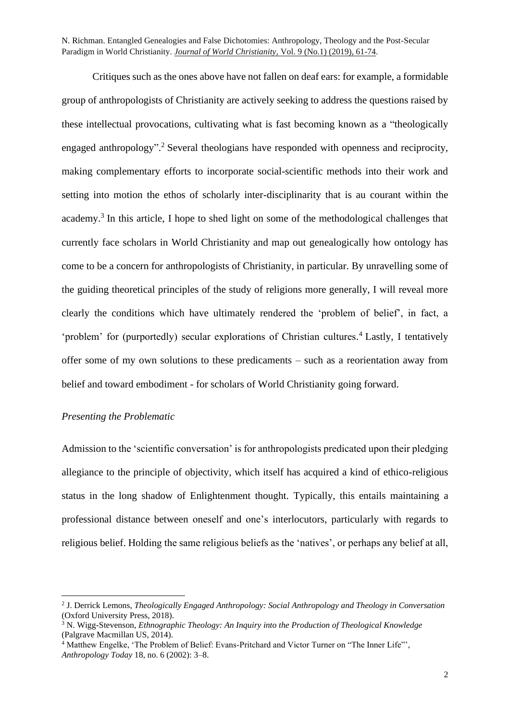Critiques such as the ones above have not fallen on deaf ears: for example, a formidable group of anthropologists of Christianity are actively seeking to address the questions raised by these intellectual provocations, cultivating what is fast becoming known as a "theologically engaged anthropology".<sup>2</sup> Several theologians have responded with openness and reciprocity, making complementary efforts to incorporate social-scientific methods into their work and setting into motion the ethos of scholarly inter-disciplinarity that is au courant within the academy.<sup>3</sup> In this article, I hope to shed light on some of the methodological challenges that currently face scholars in World Christianity and map out genealogically how ontology has come to be a concern for anthropologists of Christianity, in particular. By unravelling some of the guiding theoretical principles of the study of religions more generally, I will reveal more clearly the conditions which have ultimately rendered the 'problem of belief', in fact, a 'problem' for (purportedly) secular explorations of Christian cultures.<sup>4</sup> Lastly, I tentatively offer some of my own solutions to these predicaments – such as a reorientation away from belief and toward embodiment - for scholars of World Christianity going forward.

## *Presenting the Problematic*

Admission to the 'scientific conversation' is for anthropologists predicated upon their pledging allegiance to the principle of objectivity, which itself has acquired a kind of ethico-religious status in the long shadow of Enlightenment thought. Typically, this entails maintaining a professional distance between oneself and one's interlocutors, particularly with regards to religious belief. Holding the same religious beliefs as the 'natives', or perhaps any belief at all,

<sup>2</sup> J. Derrick Lemons, *Theologically Engaged Anthropology: Social Anthropology and Theology in Conversation* (Oxford University Press, 2018).

<sup>3</sup> N. Wigg-Stevenson, *Ethnographic Theology: An Inquiry into the Production of Theological Knowledge* (Palgrave Macmillan US, 2014).

<sup>&</sup>lt;sup>4</sup> Matthew Engelke, 'The Problem of Belief: Evans-Pritchard and Victor Turner on "The Inner Life"', *Anthropology Today* 18, no. 6 (2002): 3–8.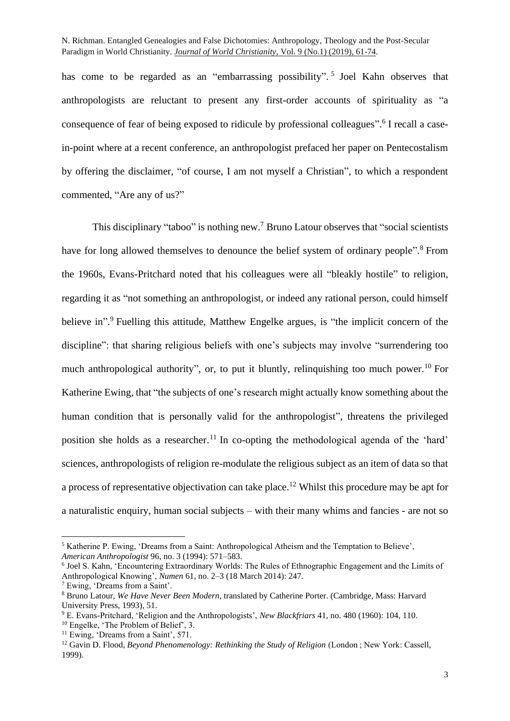has come to be regarded as an "embarrassing possibility".<sup>5</sup> Joel Kahn observes that anthropologists are reluctant to present any first-order accounts of spirituality as "a consequence of fear of being exposed to ridicule by professional colleagues".<sup>6</sup> I recall a casein-point where at a recent conference, an anthropologist prefaced her paper on Pentecostalism by offering the disclaimer, "of course, I am not myself a Christian", to which a respondent commented, "Are any of us?"

This disciplinary "taboo" is nothing new.<sup>7</sup> Bruno Latour observes that "social scientists have for long allowed themselves to denounce the belief system of ordinary people".<sup>8</sup> From the 1960s, Evans-Pritchard noted that his colleagues were all "bleakly hostile" to religion, regarding it as "not something an anthropologist, or indeed any rational person, could himself believe in".<sup>9</sup> Fuelling this attitude, Matthew Engelke argues, is "the implicit concern of the discipline": that sharing religious beliefs with one's subjects may involve "surrendering too much anthropological authority", or, to put it bluntly, relinquishing too much power.<sup>10</sup> For Katherine Ewing, that "the subjects of one's research might actually know something about the human condition that is personally valid for the anthropologist", threatens the privileged position she holds as a researcher.<sup>11</sup> In co-opting the methodological agenda of the 'hard' sciences, anthropologists of religion re-modulate the religious subject as an item of data so that a process of representative objectivation can take place. <sup>12</sup> Whilst this procedure may be apt for a naturalistic enquiry, human social subjects – with their many whims and fancies - are not so

<sup>5</sup> Katherine P. Ewing, 'Dreams from a Saint: Anthropological Atheism and the Temptation to Believe', *American Anthropologist* 96, no. 3 (1994): 571–583.

<sup>6</sup> Joel S. Kahn, 'Encountering Extraordinary Worlds: The Rules of Ethnographic Engagement and the Limits of Anthropological Knowing', *Numen* 61, no. 2–3 (18 March 2014): 247.

<sup>7</sup> Ewing, 'Dreams from a Saint'.

<sup>8</sup> Bruno Latour, *We Have Never Been Modern*, translated by Catherine Porter. (Cambridge, Mass: Harvard University Press, 1993), 51.

<sup>9</sup> E. Evans-Pritchard, 'Religion and the Anthropologists', *New Blackfriars* 41, no. 480 (1960): 104, 110. <sup>10</sup> Engelke, 'The Problem of Belief', 3.

<sup>&</sup>lt;sup>11</sup> Ewing, 'Dreams from a Saint', 571.

<sup>&</sup>lt;sup>12</sup> Gavin D. Flood, *Beyond Phenomenology: Rethinking the Study of Religion* (London ; New York: Cassell, 1999).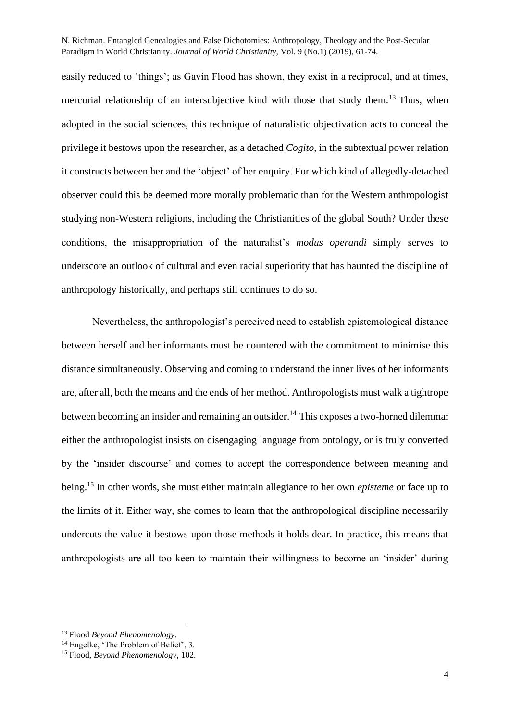easily reduced to 'things'; as Gavin Flood has shown, they exist in a reciprocal, and at times, mercurial relationship of an intersubjective kind with those that study them.<sup>13</sup> Thus, when adopted in the social sciences, this technique of naturalistic objectivation acts to conceal the privilege it bestows upon the researcher, as a detached *Cogito*, in the subtextual power relation it constructs between her and the 'object' of her enquiry. For which kind of allegedly-detached observer could this be deemed more morally problematic than for the Western anthropologist studying non-Western religions, including the Christianities of the global South? Under these conditions, the misappropriation of the naturalist's *modus operandi* simply serves to underscore an outlook of cultural and even racial superiority that has haunted the discipline of anthropology historically, and perhaps still continues to do so.

Nevertheless, the anthropologist's perceived need to establish epistemological distance between herself and her informants must be countered with the commitment to minimise this distance simultaneously. Observing and coming to understand the inner lives of her informants are, after all, both the means and the ends of her method. Anthropologists must walk a tightrope between becoming an insider and remaining an outsider.<sup>14</sup> This exposes a two-horned dilemma: either the anthropologist insists on disengaging language from ontology, or is truly converted by the 'insider discourse' and comes to accept the correspondence between meaning and being. <sup>15</sup> In other words, she must either maintain allegiance to her own *episteme* or face up to the limits of it. Either way, she comes to learn that the anthropological discipline necessarily undercuts the value it bestows upon those methods it holds dear. In practice, this means that anthropologists are all too keen to maintain their willingness to become an 'insider' during

<sup>13</sup> Flood *Beyond Phenomenology*.

<sup>&</sup>lt;sup>14</sup> Engelke, 'The Problem of Belief', 3.

<sup>15</sup> Flood, *Beyond Phenomenology*, 102.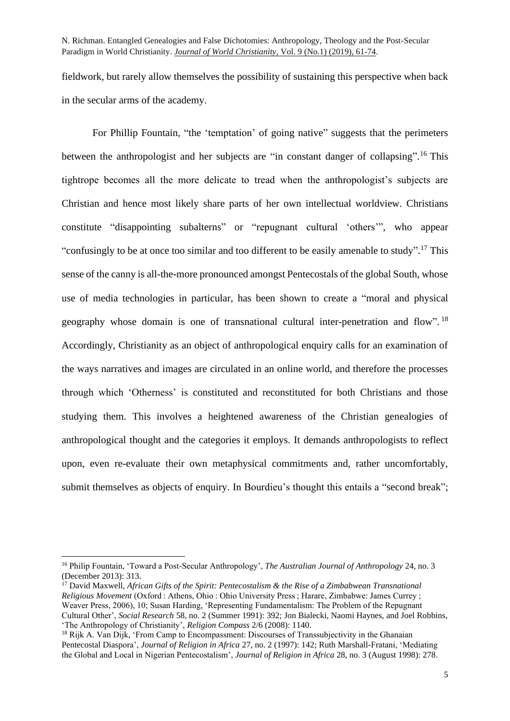fieldwork, but rarely allow themselves the possibility of sustaining this perspective when back in the secular arms of the academy.

For Phillip Fountain, "the 'temptation' of going native" suggests that the perimeters between the anthropologist and her subjects are "in constant danger of collapsing".<sup>16</sup> This tightrope becomes all the more delicate to tread when the anthropologist's subjects are Christian and hence most likely share parts of her own intellectual worldview. Christians constitute "disappointing subalterns" or "repugnant cultural 'others'", who appear "confusingly to be at once too similar and too different to be easily amenable to study".<sup>17</sup> This sense of the canny is all-the-more pronounced amongst Pentecostals of the global South, whose use of media technologies in particular, has been shown to create a "moral and physical geography whose domain is one of transnational cultural inter-penetration and flow". <sup>18</sup> Accordingly, Christianity as an object of anthropological enquiry calls for an examination of the ways narratives and images are circulated in an online world, and therefore the processes through which 'Otherness' is constituted and reconstituted for both Christians and those studying them. This involves a heightened awareness of the Christian genealogies of anthropological thought and the categories it employs. It demands anthropologists to reflect upon, even re-evaluate their own metaphysical commitments and, rather uncomfortably, submit themselves as objects of enquiry. In Bourdieu's thought this entails a "second break";

<sup>16</sup> Philip Fountain, 'Toward a Post-Secular Anthropology', *The Australian Journal of Anthropology* 24, no. 3 (December 2013): 313.

<sup>&</sup>lt;sup>17</sup> David Maxwell, *African Gifts of the Spirit: Pentecostalism & the Rise of a Zimbabwean Transnational Religious Movement* (Oxford : Athens, Ohio : Ohio University Press ; Harare, Zimbabwe: James Currey ; Weaver Press, 2006), 10; Susan Harding, 'Representing Fundamentalism: The Problem of the Repugnant Cultural Other', *Social Research* 58, no. 2 (Summer 1991): 392; Jon Bialecki, Naomi Haynes, and Joel Robbins, 'The Anthropology of Christianity', *Religion Compass* 2/6 (2008): 1140.

<sup>&</sup>lt;sup>18</sup> Rijk A. Van Dijk, 'From Camp to Encompassment: Discourses of Transsubjectivity in the Ghanaian Pentecostal Diaspora', *Journal of Religion in Africa* 27, no. 2 (1997): 142; Ruth Marshall-Fratani, 'Mediating the Global and Local in Nigerian Pentecostalism', *Journal of Religion in Africa* 28, no. 3 (August 1998): 278.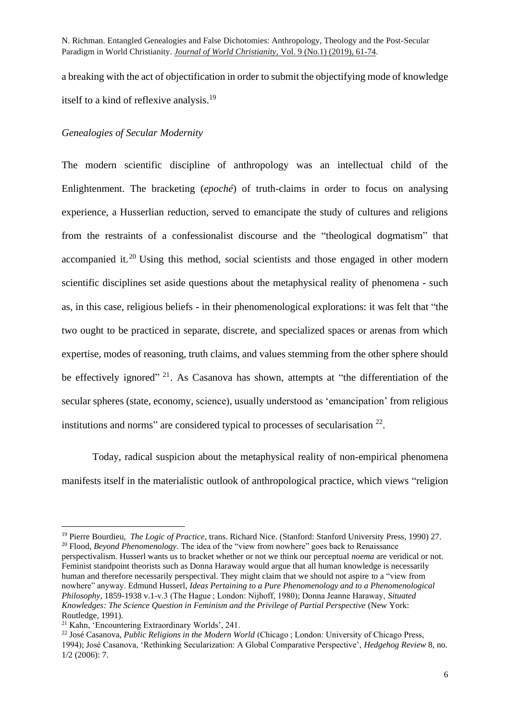a breaking with the act of objectification in order to submit the objectifying mode of knowledge itself to a kind of reflexive analysis.<sup>19</sup>

## *Genealogies of Secular Modernity*

The modern scientific discipline of anthropology was an intellectual child of the Enlightenment. The bracketing (*epoché*) of truth-claims in order to focus on analysing experience, a Husserlian reduction, served to emancipate the study of cultures and religions from the restraints of a confessionalist discourse and the "theological dogmatism" that accompanied it.<sup>20</sup> Using this method, social scientists and those engaged in other modern scientific disciplines set aside questions about the metaphysical reality of phenomena - such as, in this case, religious beliefs - in their phenomenological explorations: it was felt that "the two ought to be practiced in separate, discrete, and specialized spaces or arenas from which expertise, modes of reasoning, truth claims, and values stemming from the other sphere should be effectively ignored"<sup>21</sup>. As Casanova has shown, attempts at "the differentiation of the secular spheres (state, economy, science), usually understood as 'emancipation' from religious institutions and norms" are considered typical to processes of secularisation  $22$ .

Today, radical suspicion about the metaphysical reality of non-empirical phenomena manifests itself in the materialistic outlook of anthropological practice, which views "religion

<sup>19</sup> Pierre Bourdieu, *The Logic of Practice*, trans. Richard Nice. (Stanford: Stanford University Press, 1990) 27. <sup>20</sup> Flood, *Beyond Phenomenology*. The idea of the "view from nowhere" goes back to Renaissance perspectivalism. Husserl wants us to bracket whether or not we think our perceptual *noema* are veridical or not. Feminist standpoint theorists such as Donna Haraway would argue that all human knowledge is necessarily human and therefore necessarily perspectival. They might claim that we should not aspire to a "view from nowhere" anyway. Edmund Husserl, *Ideas Pertaining to a Pure Phenomenology and to a Phenomenological Philosophy*, 1859-1938 v.1-v.3 (The Hague ; London: Nijhoff, 1980); Donna Jeanne Haraway, *Situated* 

*Knowledges: The Science Question in Feminism and the Privilege of Partial Perspective* (New York: Routledge, 1991).

<sup>21</sup> Kahn, 'Encountering Extraordinary Worlds', 241.

<sup>22</sup> José Casanova, *Public Religions in the Modern World* (Chicago ; London: University of Chicago Press, 1994); José Casanova, 'Rethinking Secularization: A Global Comparative Perspective', *Hedgehog Review* 8, no. 1/2 (2006): 7.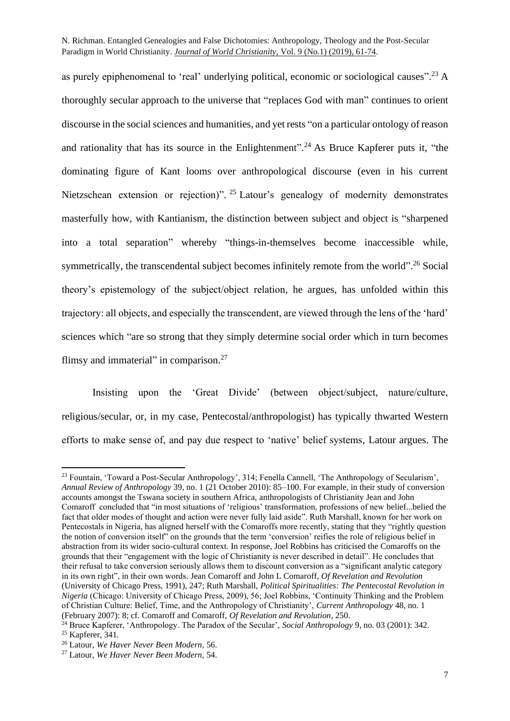as purely epiphenomenal to 'real' underlying political, economic or sociological causes".<sup>23</sup> A thoroughly secular approach to the universe that "replaces God with man" continues to orient discourse in the social sciences and humanities, and yet rests "on a particular ontology of reason and rationality that has its source in the Enlightenment".<sup>24</sup> As Bruce Kapferer puts it, "the dominating figure of Kant looms over anthropological discourse (even in his current Nietzschean extension or rejection)". <sup>25</sup> Latour's genealogy of modernity demonstrates masterfully how, with Kantianism, the distinction between subject and object is "sharpened into a total separation" whereby "things-in-themselves become inaccessible while, symmetrically, the transcendental subject becomes infinitely remote from the world".<sup>26</sup> Social theory's epistemology of the subject/object relation, he argues, has unfolded within this trajectory: all objects, and especially the transcendent, are viewed through the lens of the 'hard' sciences which "are so strong that they simply determine social order which in turn becomes flimsy and immaterial" in comparison.<sup>27</sup>

Insisting upon the 'Great Divide' (between object/subject, nature/culture, religious/secular, or, in my case, Pentecostal/anthropologist) has typically thwarted Western efforts to make sense of, and pay due respect to 'native' belief systems, Latour argues. The

<sup>23</sup> Fountain, 'Toward a Post-Secular Anthropology', 314; Fenella Cannell, 'The Anthropology of Secularism', *Annual Review of Anthropology* 39, no. 1 (21 October 2010): 85–100. For example, in their study of conversion accounts amongst the Tswana society in southern Africa, anthropologists of Christianity Jean and John Comaroff concluded that "in most situations of 'religious' transformation, professions of new belief...belied the fact that older modes of thought and action were never fully laid aside". Ruth Marshall, known for her work on Pentecostals in Nigeria, has aligned herself with the Comaroffs more recently, stating that they "rightly question the notion of conversion itself" on the grounds that the term 'conversion' reifies the role of religious belief in abstraction from its wider socio-cultural context. In response, Joel Robbins has criticised the Comaroffs on the grounds that their "engagement with the logic of Christianity is never described in detail". He concludes that their refusal to take conversion seriously allows them to discount conversion as a "significant analytic category in its own right", in their own words. Jean Comaroff and John L Comaroff, *Of Revelation and Revolution* (University of Chicago Press, 1991), 247; Ruth Marshall, *Political Spiritualities: The Pentecostal Revolution in Nigeria* (Chicago: University of Chicago Press, 2009), 56; Joel Robbins, 'Continuity Thinking and the Problem of Christian Culture: Belief, Time, and the Anthropology of Christianity', *Current Anthropology* 48, no. 1 (February 2007): 8; cf. Comaroff and Comaroff, *Of Revelation and Revolution*, 250.

<sup>&</sup>lt;sup>24</sup> Bruce Kapferer, 'Anthropology. The Paradox of the Secular', *Social Anthropology* 9, no. 03 (2001): 342.

<sup>25</sup> Kapferer, 341.

<sup>26</sup> Latour, *We Haver Never Been Modern,* 56.

<sup>27</sup> Latour, *We Haver Never Been Modern,* 54.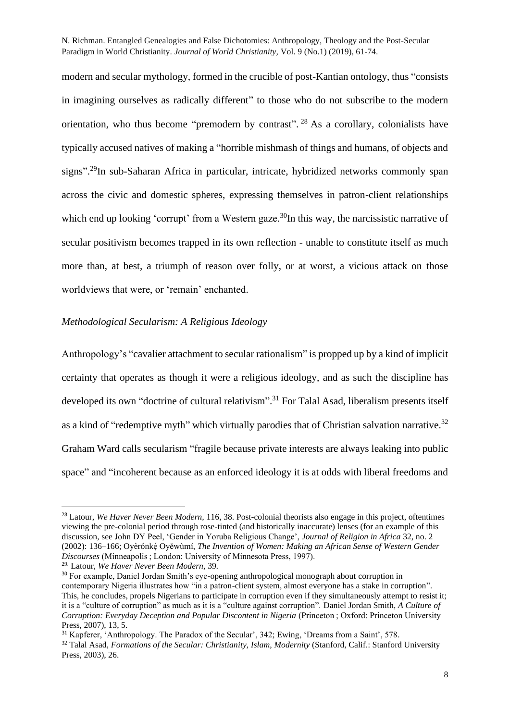modern and secular mythology, formed in the crucible of post-Kantian ontology, thus "consists in imagining ourselves as radically different" to those who do not subscribe to the modern orientation, who thus become "premodern by contrast". <sup>28</sup> As a corollary, colonialists have typically accused natives of making a "horrible mishmash of things and humans, of objects and signs".<sup>29</sup>In sub-Saharan Africa in particular, intricate, hybridized networks commonly span across the civic and domestic spheres, expressing themselves in patron-client relationships which end up looking 'corrupt' from a Western gaze.<sup>30</sup>In this way, the narcissistic narrative of secular positivism becomes trapped in its own reflection - unable to constitute itself as much more than, at best, a triumph of reason over folly, or at worst, a vicious attack on those worldviews that were, or 'remain' enchanted.

## *Methodological Secularism: A Religious Ideology*

Anthropology's "cavalier attachment to secular rationalism" is propped up by a kind of implicit certainty that operates as though it were a religious ideology, and as such the discipline has developed its own "doctrine of cultural relativism".<sup>31</sup> For Talal Asad, liberalism presents itself as a kind of "redemptive myth" which virtually parodies that of Christian salvation narrative.<sup>32</sup> Graham Ward calls secularism "fragile because private interests are always leaking into public space" and "incoherent because as an enforced ideology it is at odds with liberal freedoms and

<sup>28</sup> Latour, *We Haver Never Been Modern,* 116, 38. Post-colonial theorists also engage in this project, oftentimes viewing the pre-colonial period through rose-tinted (and historically inaccurate) lenses (for an example of this discussion, see John DY Peel, 'Gender in Yoruba Religious Change', *Journal of Religion in Africa* 32, no. 2 (2002): 136–166; Oyèrónkẹ́ Oyěwùmí, *The Invention of Women: Making an African Sense of Western Gender Discourses* (Minneapolis ; London: University of Minnesota Press, 1997).

<sup>29.</sup> Latour, *We Haver Never Been Modern,* 39*.*

<sup>&</sup>lt;sup>30</sup> For example, Daniel Jordan Smith's eye-opening anthropological monograph about corruption in contemporary Nigeria illustrates how "in a patron-client system, almost everyone has a stake in corruption". This, he concludes, propels Nigerians to participate in corruption even if they simultaneously attempt to resist it; it is a "culture of corruption" as much as it is a "culture against corruption". Daniel Jordan Smith, *A Culture of Corruption: Everyday Deception and Popular Discontent in Nigeria* (Princeton ; Oxford: Princeton University Press, 2007), 13, 5.

<sup>31</sup> Kapferer, 'Anthropology. The Paradox of the Secular', 342; Ewing, 'Dreams from a Saint', 578.

<sup>32</sup> Talal Asad, *Formations of the Secular: Christianity, Islam, Modernity* (Stanford, Calif.: Stanford University Press, 2003), 26.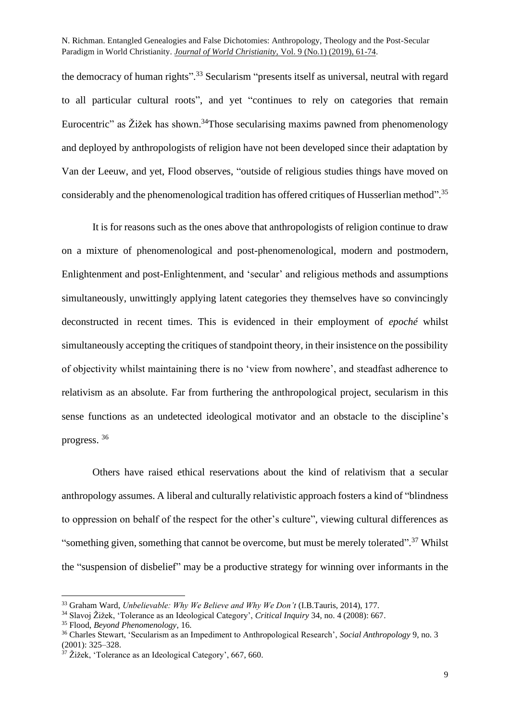the democracy of human rights".<sup>33</sup> Secularism "presents itself as universal, neutral with regard to all particular cultural roots", and yet "continues to rely on categories that remain Eurocentric" as Žižek has shown.<sup>34</sup>Those secularising maxims pawned from phenomenology and deployed by anthropologists of religion have not been developed since their adaptation by Van der Leeuw, and yet, Flood observes, "outside of religious studies things have moved on considerably and the phenomenological tradition has offered critiques of Husserlian method".<sup>35</sup>

It is for reasons such as the ones above that anthropologists of religion continue to draw on a mixture of phenomenological and post-phenomenological, modern and postmodern, Enlightenment and post-Enlightenment, and 'secular' and religious methods and assumptions simultaneously, unwittingly applying latent categories they themselves have so convincingly deconstructed in recent times. This is evidenced in their employment of *epoché* whilst simultaneously accepting the critiques of standpoint theory, in their insistence on the possibility of objectivity whilst maintaining there is no 'view from nowhere', and steadfast adherence to relativism as an absolute. Far from furthering the anthropological project, secularism in this sense functions as an undetected ideological motivator and an obstacle to the discipline's progress. 36

Others have raised ethical reservations about the kind of relativism that a secular anthropology assumes. A liberal and culturally relativistic approach fosters a kind of "blindness to oppression on behalf of the respect for the other's culture", viewing cultural differences as "something given, something that cannot be overcome, but must be merely tolerated".<sup>37</sup> Whilst the "suspension of disbelief" may be a productive strategy for winning over informants in the

<sup>33</sup> Graham Ward, *Unbelievable: Why We Believe and Why We Don't* (I.B.Tauris, 2014), 177.

<sup>34</sup> Slavoj Žižek, 'Tolerance as an Ideological Category', *Critical Inquiry* 34, no. 4 (2008): 667.

<sup>35</sup> Flood, *Beyond Phenomenology*, 16.

<sup>36</sup> Charles Stewart, 'Secularism as an Impediment to Anthropological Research', *Social Anthropology* 9, no. 3 (2001): 325–328.

 $37$  Žižek, 'Tolerance as an Ideological Category', 667, 660.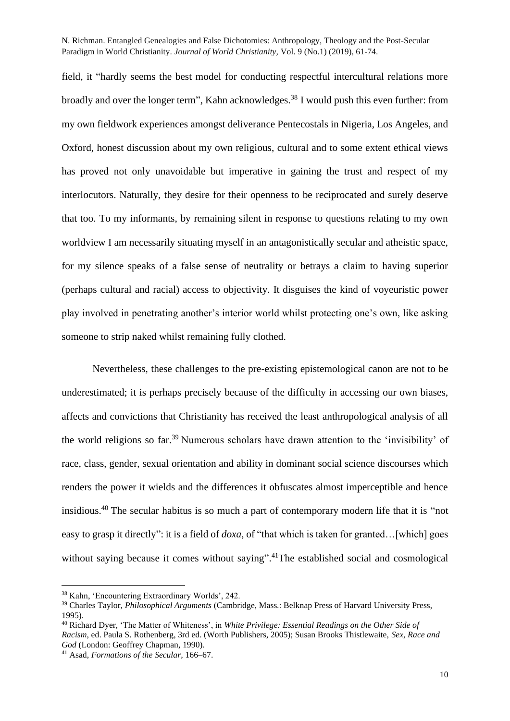field, it "hardly seems the best model for conducting respectful intercultural relations more broadly and over the longer term". Kahn acknowledges.<sup>38</sup> I would push this even further: from my own fieldwork experiences amongst deliverance Pentecostals in Nigeria, Los Angeles, and Oxford, honest discussion about my own religious, cultural and to some extent ethical views has proved not only unavoidable but imperative in gaining the trust and respect of my interlocutors. Naturally, they desire for their openness to be reciprocated and surely deserve that too. To my informants, by remaining silent in response to questions relating to my own worldview I am necessarily situating myself in an antagonistically secular and atheistic space, for my silence speaks of a false sense of neutrality or betrays a claim to having superior (perhaps cultural and racial) access to objectivity. It disguises the kind of voyeuristic power play involved in penetrating another's interior world whilst protecting one's own, like asking someone to strip naked whilst remaining fully clothed.

Nevertheless, these challenges to the pre-existing epistemological canon are not to be underestimated; it is perhaps precisely because of the difficulty in accessing our own biases, affects and convictions that Christianity has received the least anthropological analysis of all the world religions so far.<sup>39</sup> Numerous scholars have drawn attention to the 'invisibility' of race, class, gender, sexual orientation and ability in dominant social science discourses which renders the power it wields and the differences it obfuscates almost imperceptible and hence insidious. <sup>40</sup> The secular habitus is so much a part of contemporary modern life that it is "not easy to grasp it directly": it is a field of *doxa*, of "that which is taken for granted…[which] goes without saying because it comes without saying".<sup>41</sup>The established social and cosmological

<sup>38</sup> Kahn, 'Encountering Extraordinary Worlds', 242.

<sup>39</sup> Charles Taylor, *Philosophical Arguments* (Cambridge, Mass.: Belknap Press of Harvard University Press, 1995).

<sup>40</sup> Richard Dyer, 'The Matter of Whiteness', in *White Privilege: Essential Readings on the Other Side of Racism*, ed. Paula S. Rothenberg, 3rd ed. (Worth Publishers, 2005); Susan Brooks Thistlewaite, *Sex, Race and God* (London: Geoffrey Chapman, 1990).

<sup>41</sup> Asad, *Formations of the Secular,* 166–67.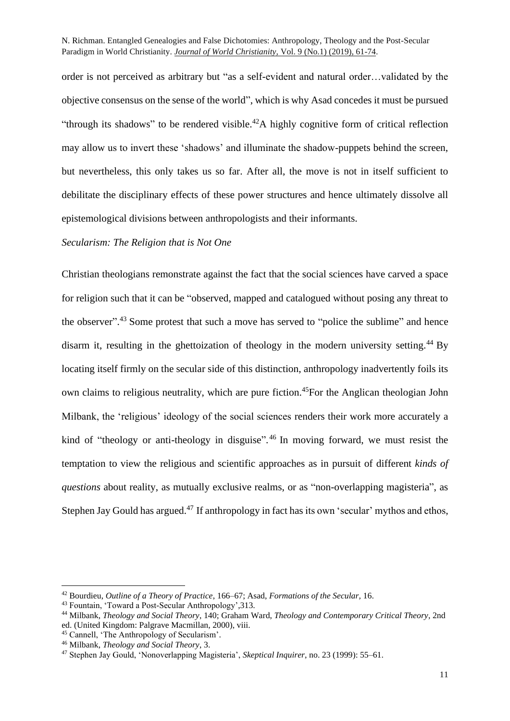order is not perceived as arbitrary but "as a self-evident and natural order…validated by the objective consensus on the sense of the world", which is why Asad concedes it must be pursued "through its shadows" to be rendered visible.<sup>42</sup>A highly cognitive form of critical reflection may allow us to invert these 'shadows' and illuminate the shadow-puppets behind the screen, but nevertheless, this only takes us so far. After all, the move is not in itself sufficient to debilitate the disciplinary effects of these power structures and hence ultimately dissolve all epistemological divisions between anthropologists and their informants.

## *Secularism: The Religion that is Not One*

Christian theologians remonstrate against the fact that the social sciences have carved a space for religion such that it can be "observed, mapped and catalogued without posing any threat to the observer".<sup>43</sup> Some protest that such a move has served to "police the sublime" and hence disarm it, resulting in the ghettoization of theology in the modern university setting.<sup>44</sup> By locating itself firmly on the secular side of this distinction, anthropology inadvertently foils its own claims to religious neutrality, which are pure fiction.<sup>45</sup>For the Anglican theologian John Milbank, the 'religious' ideology of the social sciences renders their work more accurately a kind of "theology or anti-theology in disguise".<sup>46</sup> In moving forward, we must resist the temptation to view the religious and scientific approaches as in pursuit of different *kinds of questions* about reality, as mutually exclusive realms, or as "non-overlapping magisteria", as Stephen Jay Gould has argued.<sup>47</sup> If anthropology in fact has its own 'secular' mythos and ethos,

<sup>42</sup> Bourdieu, *Outline of a Theory of Practice*, 166–67; Asad, *Formations of the Secular,* 16.

<sup>43</sup> Fountain, 'Toward a Post-Secular Anthropology',313.

<sup>44</sup> Milbank, *Theology and Social Theory*, 140; Graham Ward, *Theology and Contemporary Critical Theory*, 2nd ed. (United Kingdom: Palgrave Macmillan, 2000), viii.

<sup>45</sup> Cannell, 'The Anthropology of Secularism'.

<sup>46</sup> Milbank, *Theology and Social Theory*, 3.

<sup>47</sup> Stephen Jay Gould, 'Nonoverlapping Magisteria', *Skeptical Inquirer*, no. 23 (1999): 55–61.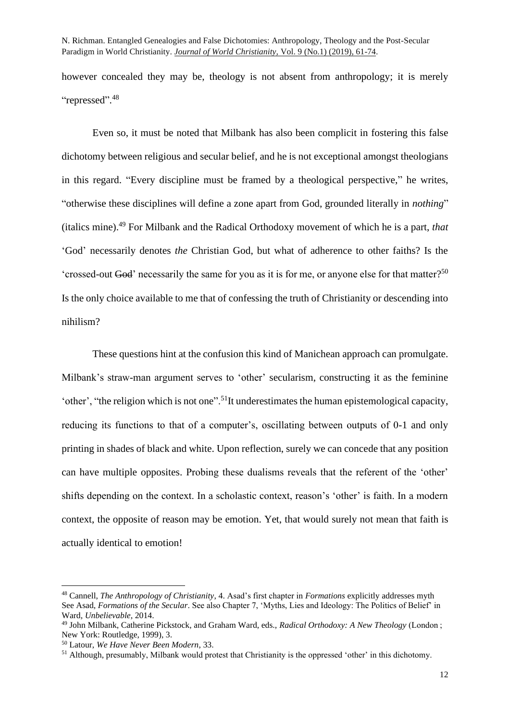however concealed they may be, theology is not absent from anthropology; it is merely "repressed".<sup>48</sup>

Even so, it must be noted that Milbank has also been complicit in fostering this false dichotomy between religious and secular belief, and he is not exceptional amongst theologians in this regard. "Every discipline must be framed by a theological perspective," he writes, "otherwise these disciplines will define a zone apart from God, grounded literally in *nothing*" (italics mine). <sup>49</sup> For Milbank and the Radical Orthodoxy movement of which he is a part, *that* 'God' necessarily denotes *the* Christian God, but what of adherence to other faiths? Is the 'crossed-out God' necessarily the same for you as it is for me, or anyone else for that matter?<sup>50</sup> Is the only choice available to me that of confessing the truth of Christianity or descending into nihilism?

These questions hint at the confusion this kind of Manichean approach can promulgate. Milbank's straw-man argument serves to 'other' secularism, constructing it as the feminine 'other', "the religion which is not one".<sup>51</sup>It underestimates the human epistemological capacity, reducing its functions to that of a computer's, oscillating between outputs of 0-1 and only printing in shades of black and white. Upon reflection, surely we can concede that any position can have multiple opposites. Probing these dualisms reveals that the referent of the 'other' shifts depending on the context. In a scholastic context, reason's 'other' is faith. In a modern context, the opposite of reason may be emotion. Yet, that would surely not mean that faith is actually identical to emotion!

<sup>48</sup> Cannell, *The Anthropology of Christianity*, 4. Asad's first chapter in *Formations* explicitly addresses myth See Asad, *Formations of the Secular*. See also Chapter 7, 'Myths, Lies and Ideology: The Politics of Belief' in Ward*, Unbelievable,* 2014.

<sup>49</sup> John Milbank, Catherine Pickstock, and Graham Ward, eds., *Radical Orthodoxy: A New Theology* (London ; New York: Routledge, 1999), 3.

<sup>50</sup> Latour, *We Have Never Been Modern*, 33.

<sup>51</sup> Although, presumably, Milbank would protest that Christianity is the oppressed 'other' in this dichotomy.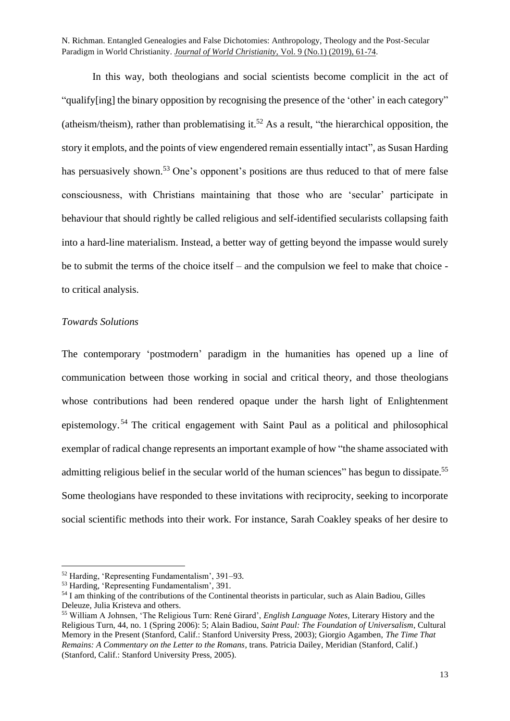In this way, both theologians and social scientists become complicit in the act of "qualify[ing] the binary opposition by recognising the presence of the 'other' in each category" (atheism/theism), rather than problematising it. <sup>52</sup> As a result, "the hierarchical opposition, the story it emplots, and the points of view engendered remain essentially intact", as Susan Harding has persuasively shown.<sup>53</sup> One's opponent's positions are thus reduced to that of mere false consciousness, with Christians maintaining that those who are 'secular' participate in behaviour that should rightly be called religious and self-identified secularists collapsing faith into a hard-line materialism. Instead, a better way of getting beyond the impasse would surely be to submit the terms of the choice itself – and the compulsion we feel to make that choice to critical analysis.

### *Towards Solutions*

The contemporary 'postmodern' paradigm in the humanities has opened up a line of communication between those working in social and critical theory, and those theologians whose contributions had been rendered opaque under the harsh light of Enlightenment epistemology. <sup>54</sup> The critical engagement with Saint Paul as a political and philosophical exemplar of radical change represents an important example of how "the shame associated with admitting religious belief in the secular world of the human sciences" has begun to dissipate.<sup>55</sup> Some theologians have responded to these invitations with reciprocity, seeking to incorporate social scientific methods into their work. For instance, Sarah Coakley speaks of her desire to

<sup>52</sup> Harding, 'Representing Fundamentalism', 391–93.

<sup>53</sup> Harding, 'Representing Fundamentalism', 391.

<sup>&</sup>lt;sup>54</sup> I am thinking of the contributions of the Continental theorists in particular, such as Alain Badiou, Gilles Deleuze, Julia Kristeva and others.

<sup>55</sup> William A Johnsen, 'The Religious Turn: René Girard', *English Language Notes*, Literary History and the Religious Turn, 44, no. 1 (Spring 2006): 5; Alain Badiou, *Saint Paul: The Foundation of Universalism*, Cultural Memory in the Present (Stanford, Calif.: Stanford University Press, 2003); Giorgio Agamben, *The Time That Remains: A Commentary on the Letter to the Romans*, trans. Patricia Dailey, Meridian (Stanford, Calif.) (Stanford, Calif.: Stanford University Press, 2005).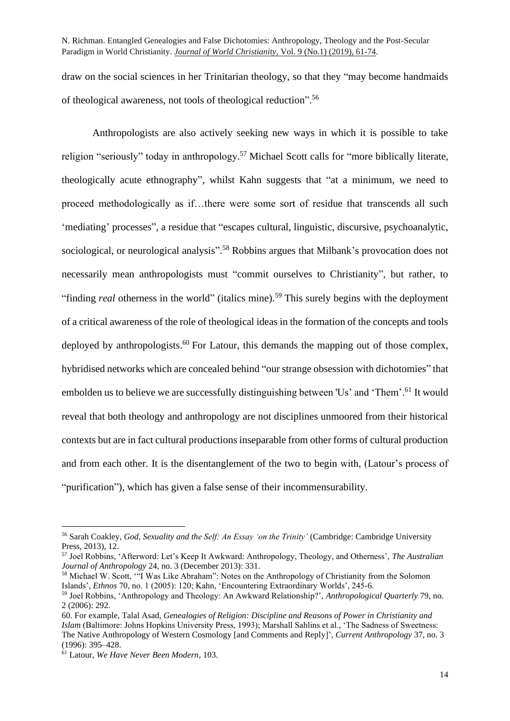draw on the social sciences in her Trinitarian theology, so that they "may become handmaids of theological awareness, not tools of theological reduction". 56

Anthropologists are also actively seeking new ways in which it is possible to take religion "seriously" today in anthropology.<sup>57</sup> Michael Scott calls for "more biblically literate, theologically acute ethnography", whilst Kahn suggests that "at a minimum, we need to proceed methodologically as if…there were some sort of residue that transcends all such 'mediating' processes", a residue that "escapes cultural, linguistic, discursive, psychoanalytic, sociological, or neurological analysis".<sup>58</sup> Robbins argues that Milbank's provocation does not necessarily mean anthropologists must "commit ourselves to Christianity", but rather, to "finding *real* otherness in the world" (italics mine). <sup>59</sup> This surely begins with the deployment of a critical awareness of the role of theological ideas in the formation of the concepts and tools deployed by anthropologists.<sup>60</sup> For Latour, this demands the mapping out of those complex, hybridised networks which are concealed behind "our strange obsession with dichotomies" that embolden us to believe we are successfully distinguishing between 'Us' and 'Them'.<sup>61</sup> It would reveal that both theology and anthropology are not disciplines unmoored from their historical contexts but are in fact cultural productions inseparable from other forms of cultural production and from each other. It is the disentanglement of the two to begin with, (Latour's process of "purification"), which has given a false sense of their incommensurability.

<sup>56</sup> Sarah Coakley, *God, Sexuality and the Self: An Essay 'on the Trinity'* (Cambridge: Cambridge University Press, 2013), 12.

<sup>57</sup> Joel Robbins, 'Afterword: Let's Keep It Awkward: Anthropology, Theology, and Otherness', *The Australian Journal of Anthropology* 24, no. 3 (December 2013): 331.

<sup>58</sup> Michael W. Scott, '"I Was Like Abraham": Notes on the Anthropology of Christianity from the Solomon Islands', *Ethnos* 70, no. 1 (2005): 120; Kahn, 'Encountering Extraordinary Worlds', 245-6.

<sup>59</sup> Joel Robbins, 'Anthropology and Theology: An Awkward Relationship?', *Anthropological Quarterly* 79, no. 2 (2006): 292.

<sup>60.</sup> For example, Talal Asad, *Genealogies of Religion: Discipline and Reasons of Power in Christianity and Islam* (Baltimore: Johns Hopkins University Press, 1993); Marshall Sahlins et al., 'The Sadness of Sweetness: The Native Anthropology of Western Cosmology [and Comments and Reply]', *Current Anthropology* 37, no. 3 (1996): 395–428.

<sup>61</sup> Latour, *We Have Never Been Modern*, 103.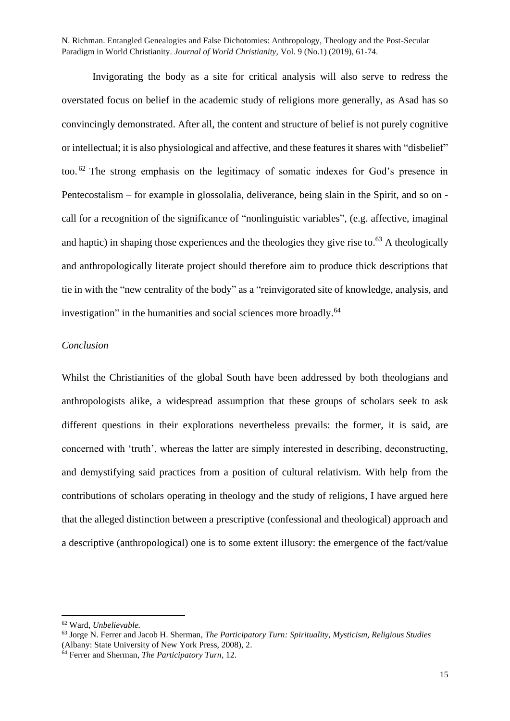Invigorating the body as a site for critical analysis will also serve to redress the overstated focus on belief in the academic study of religions more generally, as Asad has so convincingly demonstrated. After all, the content and structure of belief is not purely cognitive or intellectual; it is also physiological and affective, and these features it shares with "disbelief" too.<sup>62</sup> The strong emphasis on the legitimacy of somatic indexes for God's presence in Pentecostalism – for example in glossolalia, deliverance, being slain in the Spirit, and so on call for a recognition of the significance of "nonlinguistic variables", (e.g. affective, imaginal and haptic) in shaping those experiences and the theologies they give rise to.<sup>63</sup> A theologically and anthropologically literate project should therefore aim to produce thick descriptions that tie in with the "new centrality of the body" as a "reinvigorated site of knowledge, analysis, and investigation" in the humanities and social sciences more broadly.<sup>64</sup>

### *Conclusion*

Whilst the Christianities of the global South have been addressed by both theologians and anthropologists alike, a widespread assumption that these groups of scholars seek to ask different questions in their explorations nevertheless prevails: the former, it is said, are concerned with 'truth', whereas the latter are simply interested in describing, deconstructing, and demystifying said practices from a position of cultural relativism. With help from the contributions of scholars operating in theology and the study of religions, I have argued here that the alleged distinction between a prescriptive (confessional and theological) approach and a descriptive (anthropological) one is to some extent illusory: the emergence of the fact/value

<sup>62</sup> Ward, *Unbelievable.*

<sup>63</sup> Jorge N. Ferrer and Jacob H. Sherman, *The Participatory Turn: Spirituality, Mysticism, Religious Studies* (Albany: State University of New York Press, 2008), 2.

<sup>64</sup> Ferrer and Sherman, *The Participatory Turn*, 12.